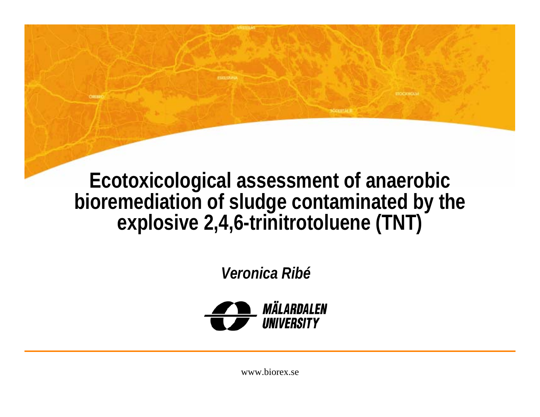**Ecotoxicological assessment of anaerobic bioremediation of sludge contaminated by the explosive 2,4,6-trinitrotoluene (TNT)**

**MODERN SE** 

*Veronica Ribé*

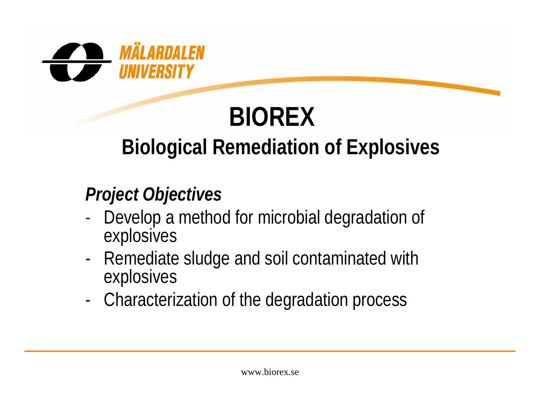

### **BIOREX Biological Remediation of Explosives**

#### *Project Objectives*

- -- Develop a method for microbial degradation of explosives
- - Remediate sludge and soil contaminated with explosives
- -Characterization of the degradation process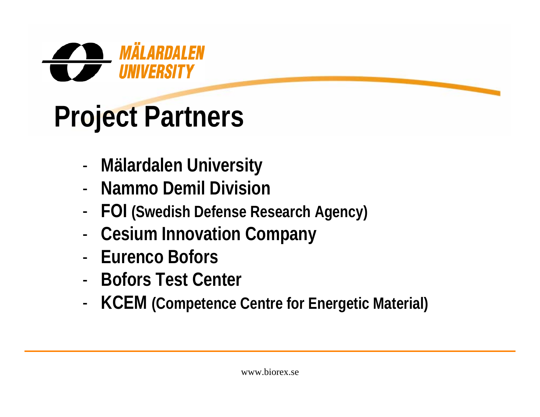

# **Project Partners**

- -**Mälardalen University**
- **Nammo Demil Division**
- -**FOI (Swedish Defense Research Agency)**
- -**Cesium Innovation Company**
- **Eurenco Bofors**
- **Bofors Test Center**
- -**KCEM (Competence Centre for Energetic Material)**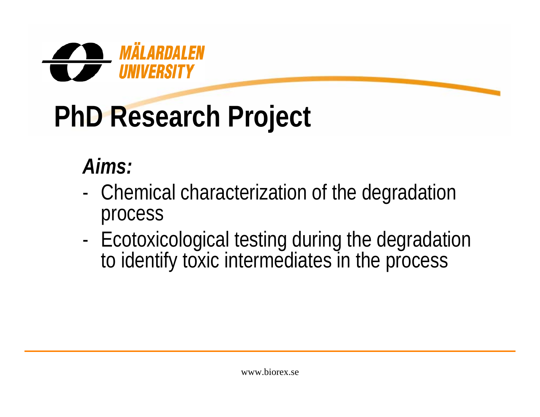

# **PhD Research Project**

### *Aims:*

- - Chemical characterization of the degradation process
- - Ecotoxicological testing during the degradation to identify toxic intermediates in the process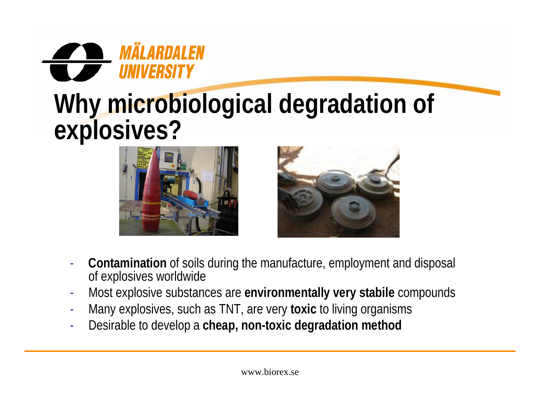

### **Why microbiological degradation of explosives?**





- - **Contamination** of soils during the manufacture, employment and disposal of explosives worldwide
- -Most explosive substances are **environmentally very stabile** compounds
- -Many explosives, such as TNT, are very **toxic** to living organisms
- -Desirable to develop a **cheap, non-toxic degradation method**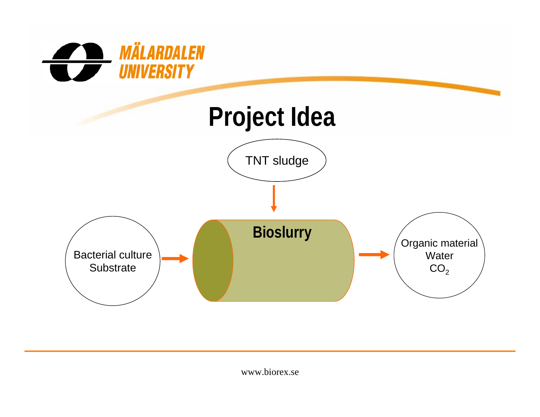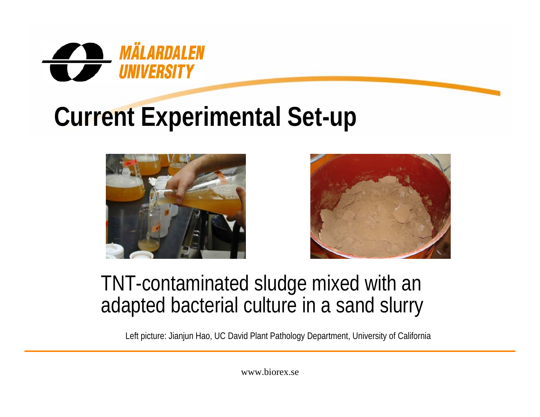

## **Current Experimental Set-up**





#### TNT-contaminated sludge mixed with an adapted bacterial culture in a sand slurry

Left picture: Jianjun Hao, UC David Plant Pathology Department, University of California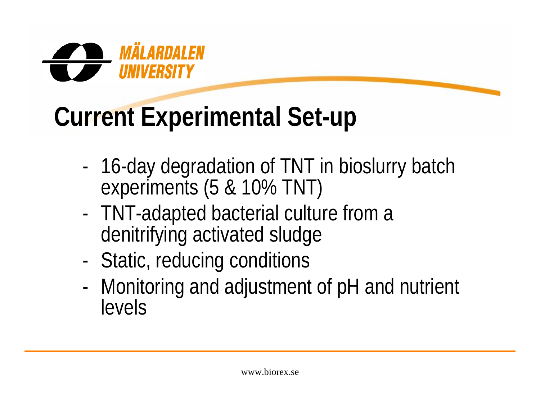

## **Current Experimental Set-up**

- -16-day degradation of TNT in bioslurry batch experiments (5 & 10% TNT)
- - TNT-adapted bacterial culture from a denitrifying activated sludge
- -Static, reducing conditions
- - Monitoring and adjustment of pH and nutrient levels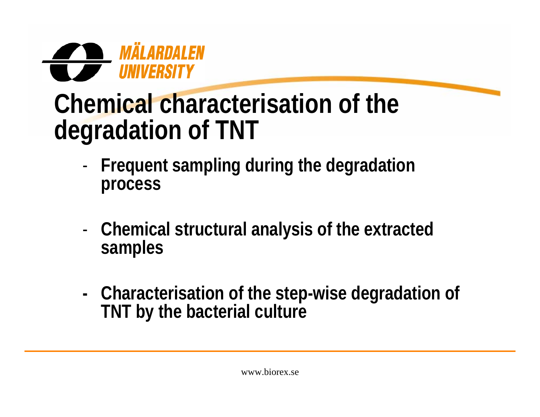

### **Chemical characterisation of the degradation of TNT**

- - **Frequent sampling during the degradation process**
- - **Chemical structural analysis of the extracted samples**
- **- Characterisation of the step-wise degradation of TNT by the bacterial culture**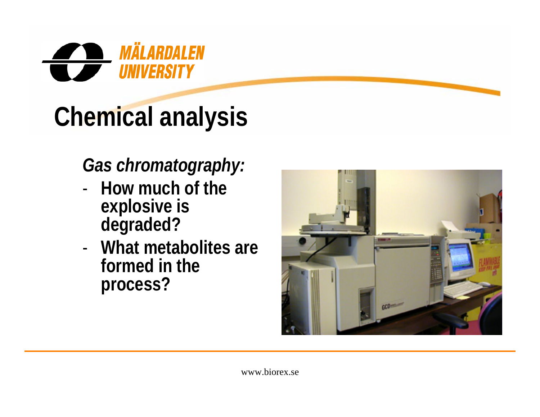

# **Chemical analysis**

#### *Gas chromatography:*

- **How much of the explosive is degraded?**
- **What metabolites are formed in the process?**

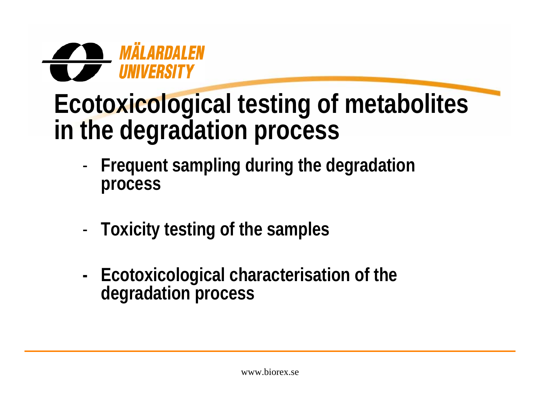

### **Ecotoxicological testing of metabolites in the degradation process**

- - **Frequent sampling during the degradation process**
- -**Toxicity testing of the samples**
- **- Ecotoxicological characterisation of the degradation process**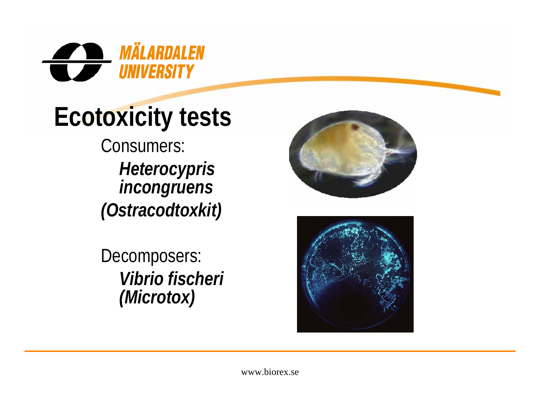

## **Ecotoxicity tests**

Consumers: *Heterocypris incongruens (Ostracodtoxkit)*

Decomposers: *Vibrio fischeri (Microtox)*



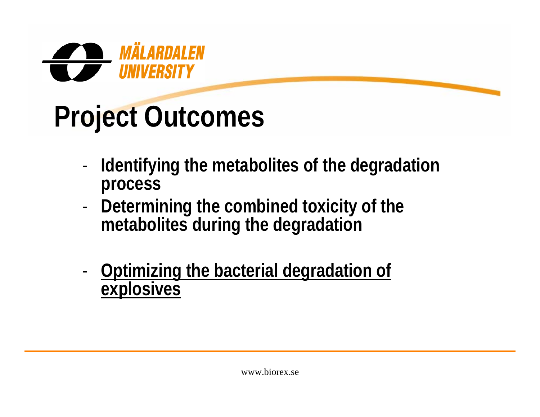

# **Project Outcomes**

- - **Identifying the metabolites of the degradation process**
- - **Determining the combined toxicity of the metabolites during the degradation**
- - **Optimizing the bacterial degradation of explosives**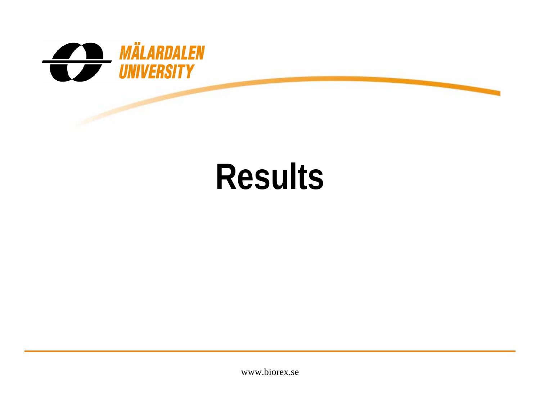

# **Results**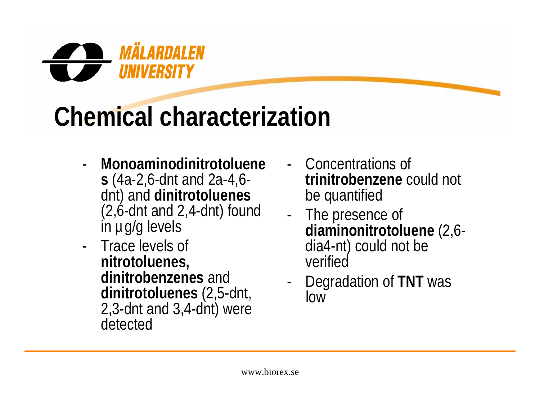

## **Chemical characterization**

- - **Monoaminodinitrotoluenes** (4a-2,6-dnt and 2a-4,6 dnt) and **dinitrotoluenes** (2,6-dnt and 2,4-dnt) found in µg/g levels
- Trace levels of **nitrotoluenes, dinitrobenzenes** and **dinitrotoluenes** (2,5-dnt, 2,3-dnt and 3,4-dnt) were detected
- Concentrations of **trinitrobenzene** could not be quantified
- - The presence of **diaminonitrotoluene** (2,6 dia4-nt) could not be verified
- - Degradation of **TNT** was low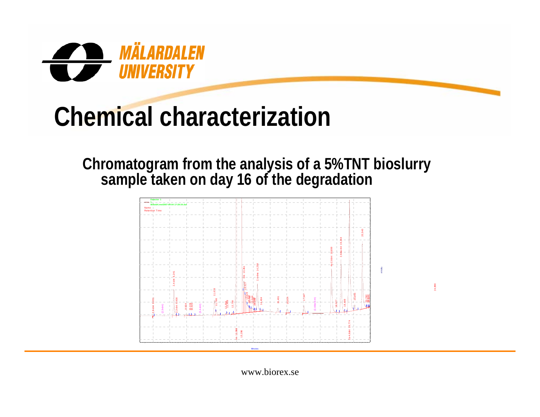

### **Chemical characterization**

**Chromatogram from the analysis of a 5%TNT bioslurry sample taken on day 16 of the degradation** 



24,898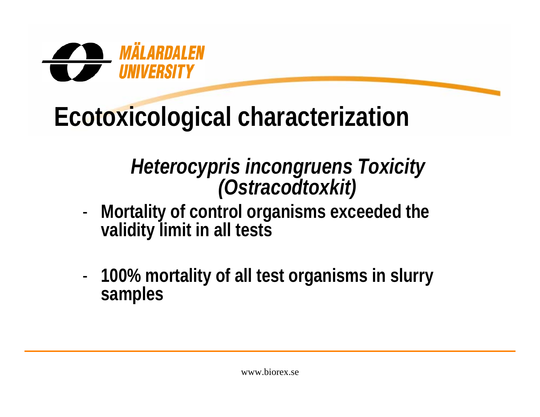

## **Ecotoxicological characterization**

# *Heterocypris incongruens Toxicity (Ostracodtoxkit)*

- - **Mortality of control organisms exceeded the validity limit in all tests**
- - **100% mortality of all test organisms in slurry samples**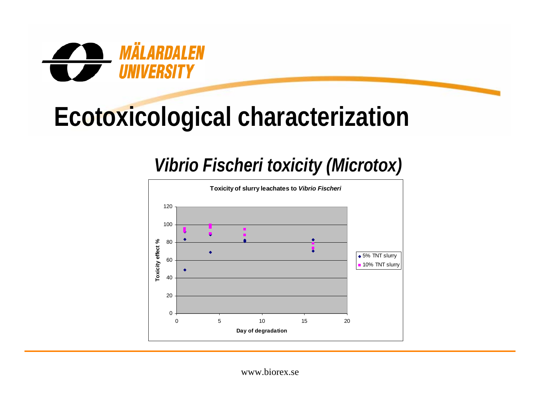

## **Ecotoxicological characterization**

#### *Vibrio Fischeri toxicity (Microtox)*

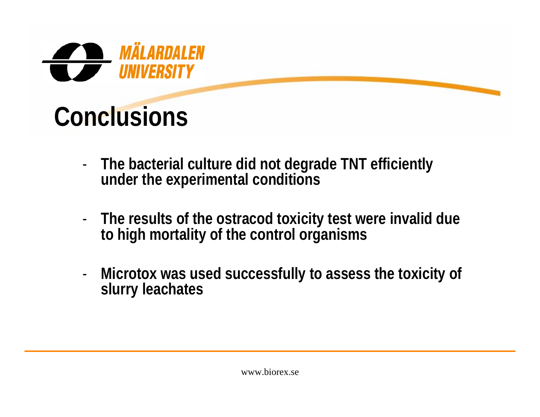

## **Conclusions**

- - **The bacterial culture did not degrade TNT efficiently under the experimental conditions**
- - **The results of the ostracod toxicity test were invalid due to high mortality of the control organisms**
- - **Microtox was used successfully to assess the toxicity of slurry leachates**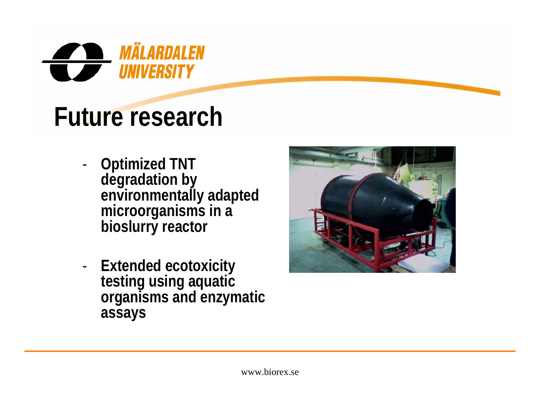

### **Future research**

- - **Optimized TNT degradation by environmentally adapted microorganisms in a bioslurry reactor**
- - **Extended ecotoxicity testing using aquatic organisms and enzymatic assays**

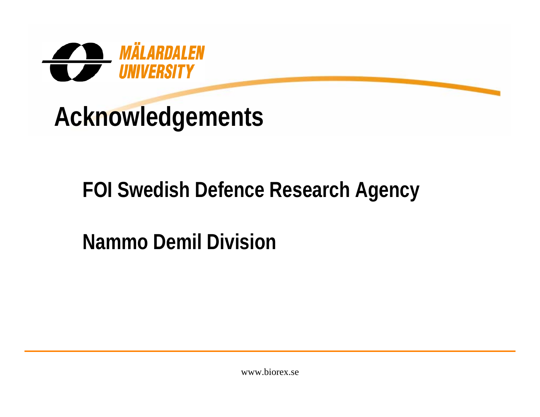

### **Acknowledgements**

#### **FOI Swedish Defence Research Agency**

### **Nammo Demil Division**